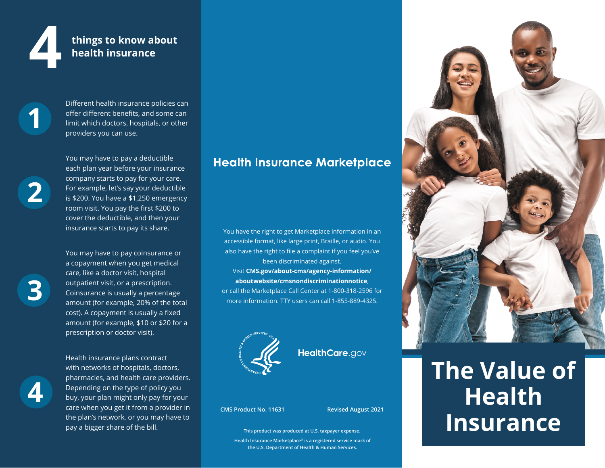

## **4 things to know about health insurance**

**1** 

**2** 

Different health insurance policies can offer different benefits, and some can limit which doctors, hospitals, or other providers you can use.

You may have to pay a deductible each plan year before your insurance company starts to pay for your care. For example, let's say your deductible is \$200. You have a \$1,250 emergency room visit. You pay the first \$200 to cover the deductible, and then your insurance starts to pay its share.

**3** 

You may have to pay coinsurance or a copayment when you get medical care, like a doctor visit, hospital outpatient visit, or a prescription. Coinsurance is usually a percentage amount (for example, 20% of the total cost). A copayment is usually a fixed amount (for example, \$10 or \$20 for a prescription or doctor visit).

**4** 

Health insurance plans contract with networks of hospitals, doctors, pharmacies, and health care providers. Depending on the type of policy you buy, your plan might only pay for your care when you get it from a provider in the plan's network, or you may have to pay a bigger share of the bill.

## **Health Insurance Marketplace**

You have the right to get Marketplace information in an accessible format, like large print, Braille, or audio. You also have the right to file a complaint if you feel you've been discriminated against. Visit **[CMS.gov/about-cms/agency-information/](CMS.gov/about-cms/agency-information/aboutwebsite/cmsnondiscriminationnotice) [aboutwebsite/cmsnondiscriminationnotice](CMS.gov/about-cms/agency-information/aboutwebsite/cmsnondiscriminationnotice)**, or call the Marketplace Call Center at 1-800-318-2596 for more information. TTY users can call 1-855-889-4325.



HealthCare.gov

**CMS Product No. 11631 Revised August 2021** 

**This product was produced at U.S. taxpayer expense.** 

**Health Insurance Marketplace® is a registered service mark of the U.S. Department of Health & Human Services.** 



# **The Value of Health Insurance**